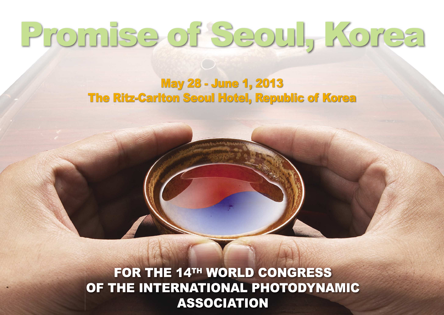## Promise of Seoul, Korea

## **May 28 - June 1, 2013 The Ritz-Carlton Seoul Hotel, Republic of Korea**

FOR THE 14TH WORLD CONGRESS OF THE INTERNATIONAL PHOTODYNAMIC **ASSOCIATION**